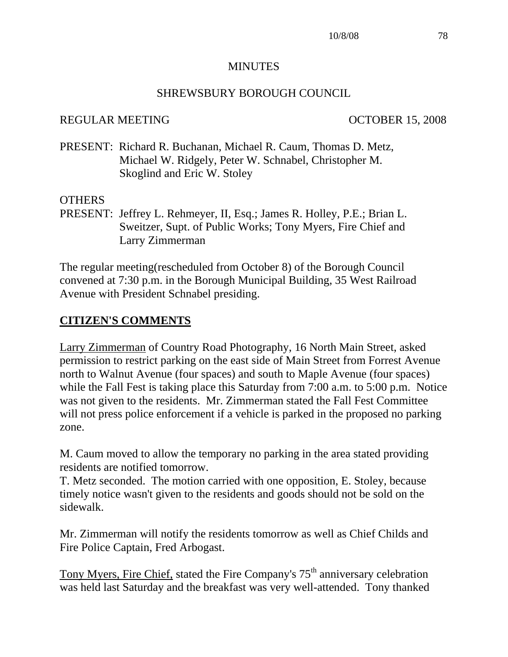#### **MINUTES**

#### SHREWSBURY BOROUGH COUNCIL

#### REGULAR MEETING OCTOBER 15, 2008

PRESENT: Richard R. Buchanan, Michael R. Caum, Thomas D. Metz, Michael W. Ridgely, Peter W. Schnabel, Christopher M. Skoglind and Eric W. Stoley

#### **OTHERS**

PRESENT: Jeffrey L. Rehmeyer, II, Esq.; James R. Holley, P.E.; Brian L. Sweitzer, Supt. of Public Works; Tony Myers, Fire Chief and Larry Zimmerman

The regular meeting(rescheduled from October 8) of the Borough Council convened at 7:30 p.m. in the Borough Municipal Building, 35 West Railroad Avenue with President Schnabel presiding.

### **CITIZEN'S COMMENTS**

Larry Zimmerman of Country Road Photography, 16 North Main Street, asked permission to restrict parking on the east side of Main Street from Forrest Avenue north to Walnut Avenue (four spaces) and south to Maple Avenue (four spaces) while the Fall Fest is taking place this Saturday from 7:00 a.m. to 5:00 p.m. Notice was not given to the residents. Mr. Zimmerman stated the Fall Fest Committee will not press police enforcement if a vehicle is parked in the proposed no parking zone.

M. Caum moved to allow the temporary no parking in the area stated providing residents are notified tomorrow.

T. Metz seconded. The motion carried with one opposition, E. Stoley, because timely notice wasn't given to the residents and goods should not be sold on the sidewalk.

Mr. Zimmerman will notify the residents tomorrow as well as Chief Childs and Fire Police Captain, Fred Arbogast.

Tony Myers, Fire Chief, stated the Fire Company's  $75<sup>th</sup>$  anniversary celebration was held last Saturday and the breakfast was very well-attended. Tony thanked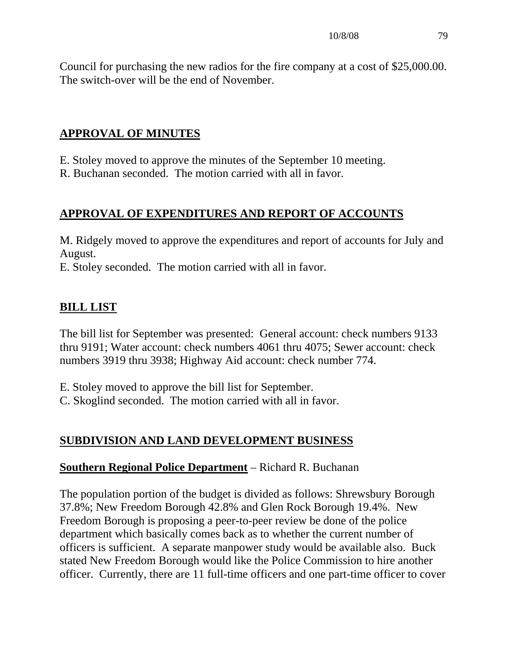Council for purchasing the new radios for the fire company at a cost of \$25,000.00. The switch-over will be the end of November.

# **APPROVAL OF MINUTES**

E. Stoley moved to approve the minutes of the September 10 meeting.

R. Buchanan seconded. The motion carried with all in favor.

# **APPROVAL OF EXPENDITURES AND REPORT OF ACCOUNTS**

M. Ridgely moved to approve the expenditures and report of accounts for July and August.

E. Stoley seconded. The motion carried with all in favor.

# **BILL LIST**

The bill list for September was presented: General account: check numbers 9133 thru 9191; Water account: check numbers 4061 thru 4075; Sewer account: check numbers 3919 thru 3938; Highway Aid account: check number 774.

E. Stoley moved to approve the bill list for September.

C. Skoglind seconded. The motion carried with all in favor.

# **SUBDIVISION AND LAND DEVELOPMENT BUSINESS**

# **Southern Regional Police Department** – Richard R. Buchanan

The population portion of the budget is divided as follows: Shrewsbury Borough 37.8%; New Freedom Borough 42.8% and Glen Rock Borough 19.4%. New Freedom Borough is proposing a peer-to-peer review be done of the police department which basically comes back as to whether the current number of officers is sufficient. A separate manpower study would be available also. Buck stated New Freedom Borough would like the Police Commission to hire another officer. Currently, there are 11 full-time officers and one part-time officer to cover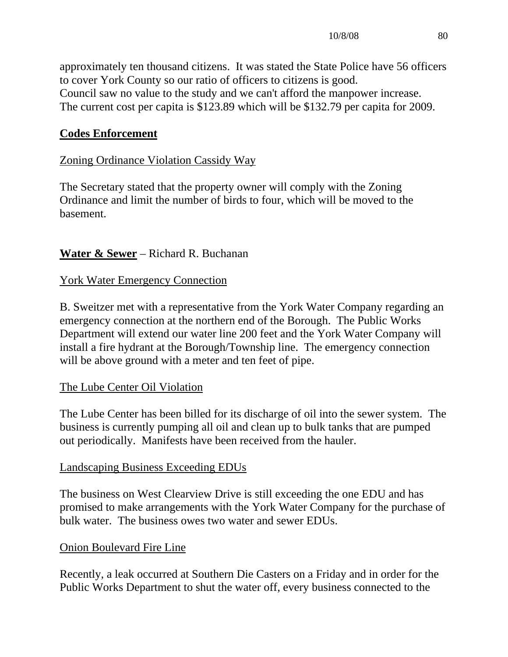approximately ten thousand citizens. It was stated the State Police have 56 officers to cover York County so our ratio of officers to citizens is good. Council saw no value to the study and we can't afford the manpower increase. The current cost per capita is \$123.89 which will be \$132.79 per capita for 2009.

# **Codes Enforcement**

# Zoning Ordinance Violation Cassidy Way

The Secretary stated that the property owner will comply with the Zoning Ordinance and limit the number of birds to four, which will be moved to the basement.

# **Water & Sewer** – Richard R. Buchanan

# York Water Emergency Connection

B. Sweitzer met with a representative from the York Water Company regarding an emergency connection at the northern end of the Borough. The Public Works Department will extend our water line 200 feet and the York Water Company will install a fire hydrant at the Borough/Township line. The emergency connection will be above ground with a meter and ten feet of pipe.

# The Lube Center Oil Violation

The Lube Center has been billed for its discharge of oil into the sewer system. The business is currently pumping all oil and clean up to bulk tanks that are pumped out periodically. Manifests have been received from the hauler.

## Landscaping Business Exceeding EDUs

The business on West Clearview Drive is still exceeding the one EDU and has promised to make arrangements with the York Water Company for the purchase of bulk water. The business owes two water and sewer EDUs.

## Onion Boulevard Fire Line

Recently, a leak occurred at Southern Die Casters on a Friday and in order for the Public Works Department to shut the water off, every business connected to the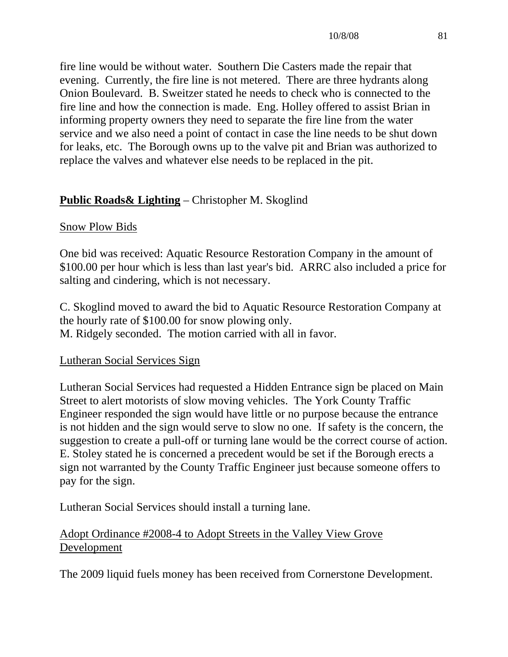fire line would be without water. Southern Die Casters made the repair that evening. Currently, the fire line is not metered. There are three hydrants along Onion Boulevard. B. Sweitzer stated he needs to check who is connected to the fire line and how the connection is made. Eng. Holley offered to assist Brian in informing property owners they need to separate the fire line from the water service and we also need a point of contact in case the line needs to be shut down for leaks, etc. The Borough owns up to the valve pit and Brian was authorized to replace the valves and whatever else needs to be replaced in the pit.

# **Public Roads& Lighting** – Christopher M. Skoglind

## Snow Plow Bids

One bid was received: Aquatic Resource Restoration Company in the amount of \$100.00 per hour which is less than last year's bid. ARRC also included a price for salting and cindering, which is not necessary.

C. Skoglind moved to award the bid to Aquatic Resource Restoration Company at the hourly rate of \$100.00 for snow plowing only. M. Ridgely seconded. The motion carried with all in favor.

## Lutheran Social Services Sign

Lutheran Social Services had requested a Hidden Entrance sign be placed on Main Street to alert motorists of slow moving vehicles. The York County Traffic Engineer responded the sign would have little or no purpose because the entrance is not hidden and the sign would serve to slow no one. If safety is the concern, the suggestion to create a pull-off or turning lane would be the correct course of action. E. Stoley stated he is concerned a precedent would be set if the Borough erects a sign not warranted by the County Traffic Engineer just because someone offers to pay for the sign.

Lutheran Social Services should install a turning lane.

# Adopt Ordinance #2008-4 to Adopt Streets in the Valley View Grove Development

The 2009 liquid fuels money has been received from Cornerstone Development.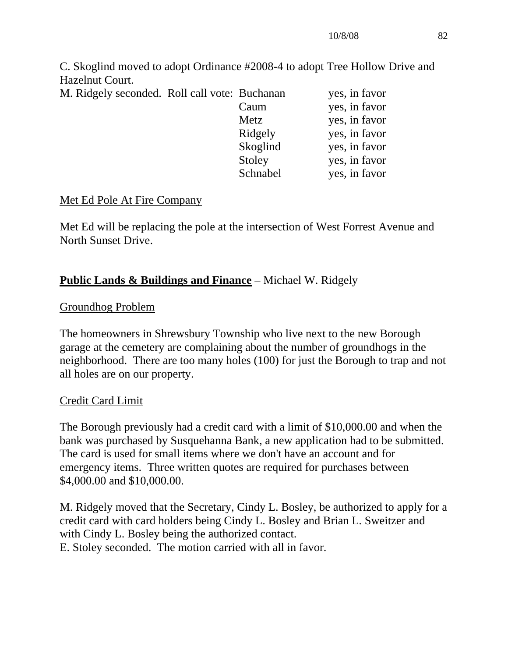C. Skoglind moved to adopt Ordinance #2008-4 to adopt Tree Hollow Drive and Hazelnut Court.

| M. Ridgely seconded. Roll call vote: Buchanan |         | yes, in favor |
|-----------------------------------------------|---------|---------------|
|                                               | Caum    | yes, in favor |
|                                               | Metz    | yes, in favor |
|                                               | Ridgely | yes, in favor |

| <b>INICLZ</b> | yes, ili tavoi |
|---------------|----------------|
| Ridgely       | yes, in favor  |
| Skoglind      | yes, in favor  |
| Stoley        | yes, in favor  |
| Schnabel      | yes, in favor  |

## Met Ed Pole At Fire Company

Met Ed will be replacing the pole at the intersection of West Forrest Avenue and North Sunset Drive.

## **Public Lands & Buildings and Finance** – Michael W. Ridgely

## Groundhog Problem

The homeowners in Shrewsbury Township who live next to the new Borough garage at the cemetery are complaining about the number of groundhogs in the neighborhood. There are too many holes (100) for just the Borough to trap and not all holes are on our property.

## Credit Card Limit

The Borough previously had a credit card with a limit of \$10,000.00 and when the bank was purchased by Susquehanna Bank, a new application had to be submitted. The card is used for small items where we don't have an account and for emergency items. Three written quotes are required for purchases between \$4,000.00 and \$10,000.00.

M. Ridgely moved that the Secretary, Cindy L. Bosley, be authorized to apply for a credit card with card holders being Cindy L. Bosley and Brian L. Sweitzer and with Cindy L. Bosley being the authorized contact. E. Stoley seconded. The motion carried with all in favor.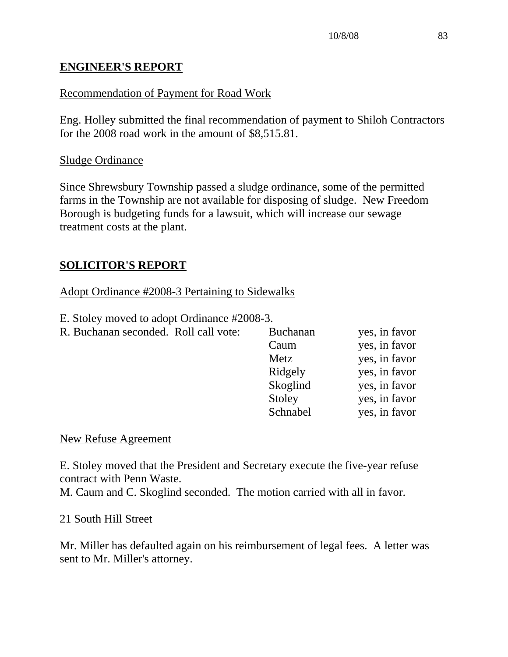# **ENGINEER'S REPORT**

# Recommendation of Payment for Road Work

Eng. Holley submitted the final recommendation of payment to Shiloh Contractors for the 2008 road work in the amount of \$8,515.81.

## Sludge Ordinance

Since Shrewsbury Township passed a sludge ordinance, some of the permitted farms in the Township are not available for disposing of sludge. New Freedom Borough is budgeting funds for a lawsuit, which will increase our sewage treatment costs at the plant.

# **SOLICITOR'S REPORT**

## Adopt Ordinance #2008-3 Pertaining to Sidewalks

E. Stoley moved to adopt Ordinance #2008-3.

R. Buchanan seconded. Roll call vote: F

| R. Buchanan seconded. Roll call vote: | <b>Buchanan</b> | yes, in favor |
|---------------------------------------|-----------------|---------------|
|                                       | Caum            | yes, in favor |
|                                       | Metz            | yes, in favor |
|                                       | Ridgely         | yes, in favor |
|                                       | Skoglind        | yes, in favor |
|                                       | Stoley          | yes, in favor |
|                                       | Schnabel        | yes, in favor |

### New Refuse Agreement

E. Stoley moved that the President and Secretary execute the five-year refuse contract with Penn Waste.

M. Caum and C. Skoglind seconded. The motion carried with all in favor.

## 21 South Hill Street

Mr. Miller has defaulted again on his reimbursement of legal fees. A letter was sent to Mr. Miller's attorney.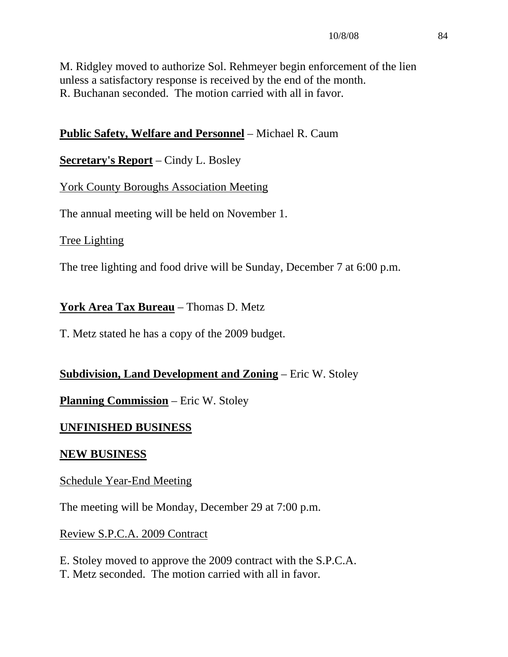M. Ridgley moved to authorize Sol. Rehmeyer begin enforcement of the lien unless a satisfactory response is received by the end of the month. R. Buchanan seconded. The motion carried with all in favor.

# **Public Safety, Welfare and Personnel** – Michael R. Caum

# **Secretary's Report** – Cindy L. Bosley

## York County Boroughs Association Meeting

The annual meeting will be held on November 1.

## Tree Lighting

The tree lighting and food drive will be Sunday, December 7 at 6:00 p.m.

## **York Area Tax Bureau** – Thomas D. Metz

T. Metz stated he has a copy of the 2009 budget.

# **Subdivision, Land Development and Zoning** – Eric W. Stoley

**Planning Commission** – Eric W. Stoley

## **UNFINISHED BUSINESS**

## **NEW BUSINESS**

## Schedule Year-End Meeting

The meeting will be Monday, December 29 at 7:00 p.m.

## Review S.P.C.A. 2009 Contract

E. Stoley moved to approve the 2009 contract with the S.P.C.A. T. Metz seconded. The motion carried with all in favor.